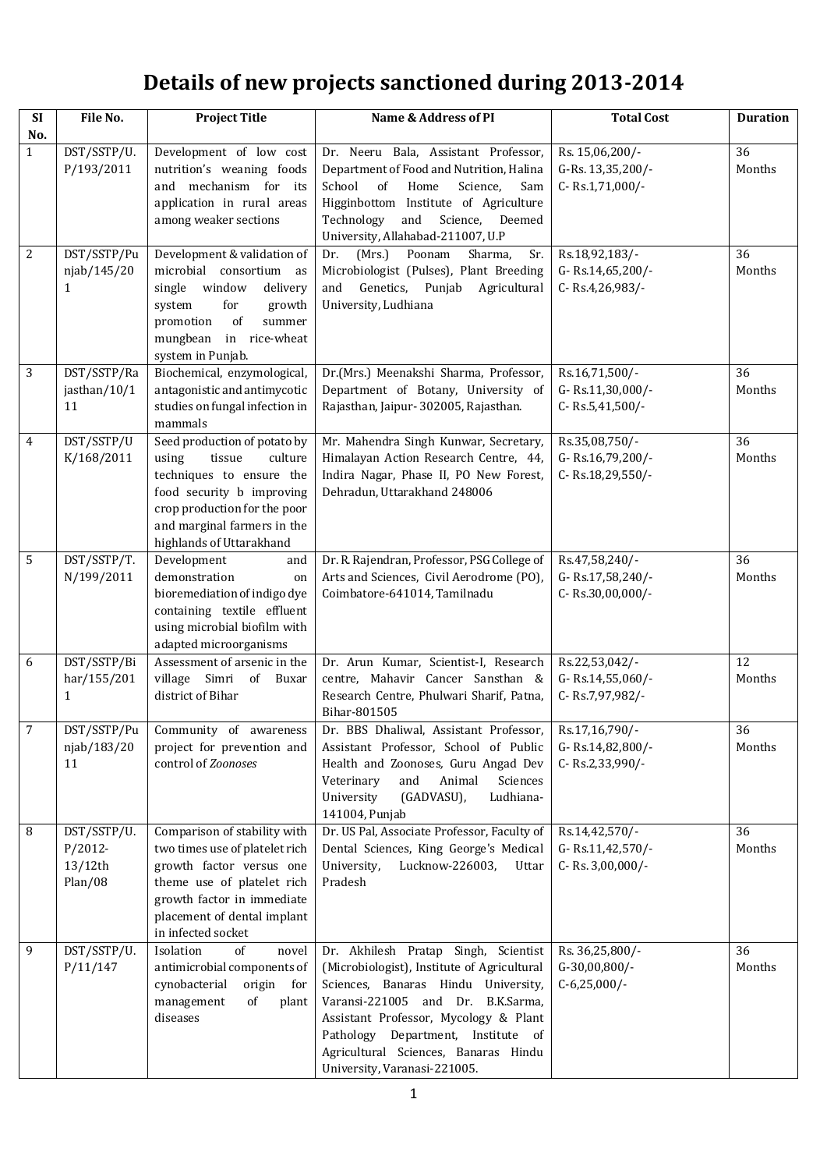## **Details of new projects sanctioned during 2013-2014**

| <b>SI</b><br>No. | File No.                                          | <b>Project Title</b>                                                                                                                                                                                           | Name & Address of PI                                                                                                                                                                                                                                                                                                      | <b>Total Cost</b>                                       | <b>Duration</b> |
|------------------|---------------------------------------------------|----------------------------------------------------------------------------------------------------------------------------------------------------------------------------------------------------------------|---------------------------------------------------------------------------------------------------------------------------------------------------------------------------------------------------------------------------------------------------------------------------------------------------------------------------|---------------------------------------------------------|-----------------|
| $\mathbf{1}$     | DST/SSTP/U.<br>P/193/2011                         | Development of low cost<br>nutrition's weaning foods<br>and mechanism for its<br>application in rural areas<br>among weaker sections                                                                           | Dr. Neeru Bala, Assistant Professor,<br>Department of Food and Nutrition, Halina<br>School<br>of<br>Home<br>Science,<br>Sam<br>Higginbottom Institute of Agriculture<br>Technology<br>and<br>Science,<br>Deemed<br>University, Allahabad-211007, U.P                                                                      | Rs. 15,06,200/-<br>G-Rs. 13,35,200/-<br>C-Rs.1,71,000/- | 36<br>Months    |
| 2                | DST/SSTP/Pu<br>njab/145/20<br>1                   | Development & validation of<br>microbial consortium as<br>single window<br>delivery<br>for<br>system<br>growth<br>promotion<br>of<br>summer<br>mungbean<br>in rice-wheat<br>system in Punjab.                  | Dr.<br>(Mrs.)<br>Poonam<br>Sharma,<br>Sr.<br>Microbiologist (Pulses), Plant Breeding<br>Genetics, Punjab<br>Agricultural<br>and<br>University, Ludhiana                                                                                                                                                                   | Rs.18,92,183/-<br>G-Rs.14,65,200/-<br>C-Rs.4,26,983/-   | 36<br>Months    |
| 3                | DST/SSTP/Ra<br>jasthan/10/1<br>11                 | Biochemical, enzymological,<br>antagonistic and antimycotic<br>studies on fungal infection in<br>mammals                                                                                                       | Dr.(Mrs.) Meenakshi Sharma, Professor,<br>Department of Botany, University of<br>Rajasthan, Jaipur- 302005, Rajasthan.                                                                                                                                                                                                    | Rs.16,71,500/-<br>G-Rs.11,30,000/-<br>C-Rs.5,41,500/-   | 36<br>Months    |
| $\overline{4}$   | DST/SSTP/U<br>K/168/2011                          | Seed production of potato by<br>using<br>culture<br>tissue<br>techniques to ensure the<br>food security b improving<br>crop production for the poor<br>and marginal farmers in the<br>highlands of Uttarakhand | Mr. Mahendra Singh Kunwar, Secretary,<br>Himalayan Action Research Centre, 44,<br>Indira Nagar, Phase II, PO New Forest,<br>Dehradun, Uttarakhand 248006                                                                                                                                                                  | Rs.35,08,750/-<br>G-Rs.16,79,200/-<br>C-Rs.18,29,550/-  | 36<br>Months    |
| 5                | DST/SSTP/T.<br>N/199/2011                         | Development<br>and<br>demonstration<br>on<br>bioremediation of indigo dye<br>containing textile effluent<br>using microbial biofilm with<br>adapted microorganisms                                             | Dr. R. Rajendran, Professor, PSG College of<br>Arts and Sciences, Civil Aerodrome (PO),<br>Coimbatore-641014, Tamilnadu                                                                                                                                                                                                   | Rs.47,58,240/-<br>G-Rs.17,58,240/-<br>C-Rs.30,00,000/-  | 36<br>Months    |
| 6                | DST/SSTP/Bi<br>har/155/201<br>1                   | Assessment of arsenic in the<br>village Simri of Buxar<br>district of Bihar                                                                                                                                    | Dr. Arun Kumar, Scientist-I, Research<br>centre, Mahavir Cancer Sansthan &<br>Research Centre, Phulwari Sharif, Patna,<br>Bihar-801505                                                                                                                                                                                    | Rs.22,53,042/-<br>G-Rs.14,55,060/-<br>C-Rs.7,97,982/-   | 12<br>Months    |
| $\overline{7}$   | njab/183/20<br>11                                 | DST/SSTP/Pu Community of awareness<br>project for prevention and<br>control of Zoonoses                                                                                                                        | Dr. BBS Dhaliwal, Assistant Professor, Rs.17,16,790/-<br>Assistant Professor, School of Public<br>Health and Zoonoses, Guru Angad Dev<br>Animal<br>Sciences<br>Veterinary<br>and<br>University<br>(GADVASU),<br>Ludhiana-<br>141004, Punjab                                                                               | G-Rs.14,82,800/-<br>C-Rs.2,33,990/-                     | 36<br>Months    |
| 8                | DST/SSTP/U.<br>$P/2012-$<br>$13/12$ th<br>Plan/08 | Comparison of stability with<br>two times use of platelet rich<br>growth factor versus one<br>theme use of platelet rich<br>growth factor in immediate<br>placement of dental implant<br>in infected socket    | Dr. US Pal, Associate Professor, Faculty of<br>Dental Sciences, King George's Medical<br>University,<br>Lucknow-226003,<br>Uttar<br>Pradesh                                                                                                                                                                               | Rs.14,42,570/-<br>G-Rs.11,42,570/-<br>C-Rs. 3,00,000/-  | 36<br>Months    |
| 9                | DST/SSTP/U.<br>P/11/147                           | Isolation<br>of<br>novel<br>antimicrobial components of<br>cynobacterial<br>origin for<br>of<br>management<br>plant<br>diseases                                                                                | Dr. Akhilesh Pratap Singh, Scientist<br>(Microbiologist), Institute of Agricultural<br>Sciences, Banaras Hindu University,<br>Varansi-221005 and Dr. B.K.Sarma,<br>Assistant Professor, Mycology & Plant<br>Department, Institute of<br>Pathology<br>Agricultural Sciences, Banaras Hindu<br>University, Varanasi-221005. | Rs. 36,25,800/-<br>G-30,00,800/-<br>$C-6,25,000/-$      | 36<br>Months    |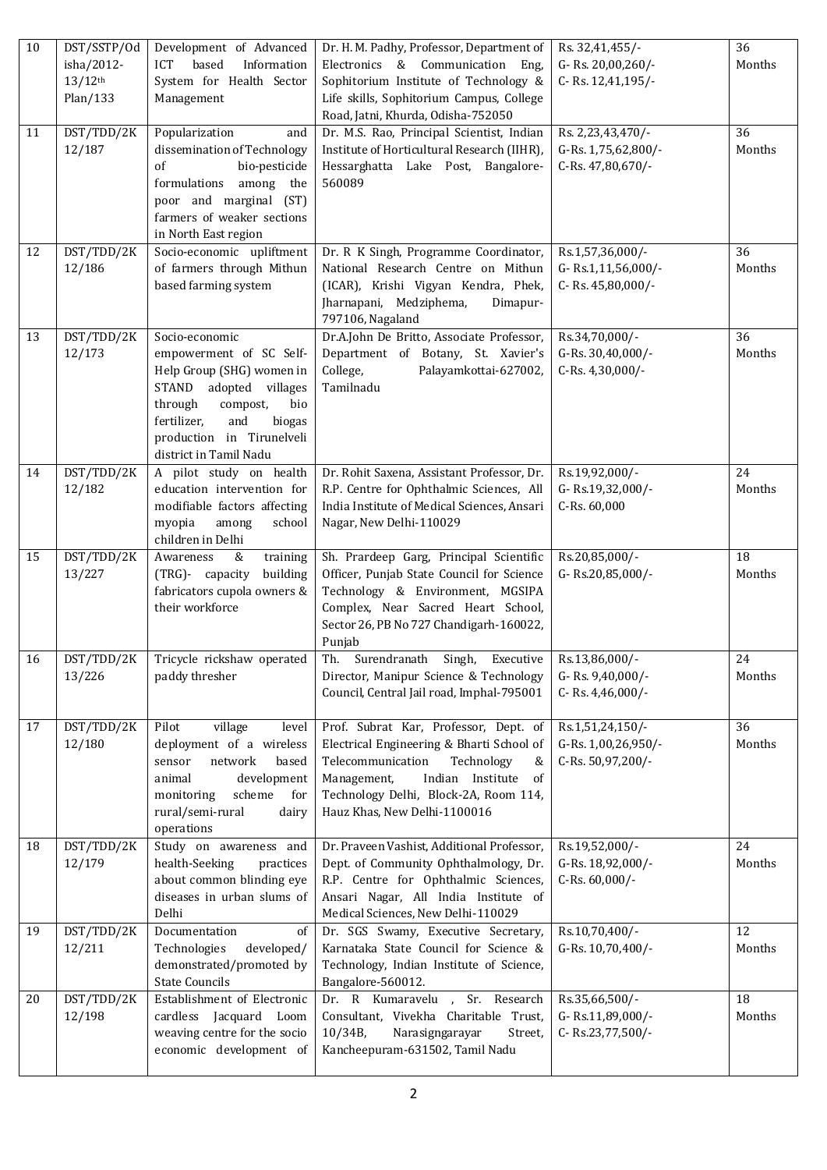| 10 | DST/SSTP/Od           | Development of Advanced                 | Dr. H. M. Padhy, Professor, Department of             | Rs. 32,41,455/-     | 36     |
|----|-----------------------|-----------------------------------------|-------------------------------------------------------|---------------------|--------|
|    | isha/2012-            | based<br><b>ICT</b><br>Information      | Electronics & Communication Eng,                      | G-Rs. 20,00,260/-   | Months |
|    | $13/12$ <sup>th</sup> | System for Health Sector                | Sophitorium Institute of Technology &                 | C-Rs. 12,41,195/-   |        |
|    | Plan/133              | Management                              | Life skills, Sophitorium Campus, College              |                     |        |
|    |                       |                                         | Road, Jatni, Khurda, Odisha-752050                    |                     |        |
| 11 | DST/TDD/2K            | Popularization<br>and                   | Dr. M.S. Rao, Principal Scientist, Indian             | Rs. 2,23,43,470/-   | 36     |
|    | 12/187                | dissemination of Technology             | Institute of Horticultural Research (IIHR),           | G-Rs. 1,75,62,800/- | Months |
|    |                       | bio-pesticide<br>of                     | Hessarghatta Lake Post, Bangalore-                    | C-Rs. 47,80,670/-   |        |
|    |                       | formulations among the                  | 560089                                                |                     |        |
|    |                       | poor and marginal (ST)                  |                                                       |                     |        |
|    |                       | farmers of weaker sections              |                                                       |                     |        |
|    |                       | in North East region                    |                                                       |                     |        |
| 12 | DST/TDD/2K            | Socio-economic upliftment               | Dr. R K Singh, Programme Coordinator,                 | Rs.1,57,36,000/-    | 36     |
|    | 12/186                | of farmers through Mithun               | National Research Centre on Mithun                    | G-Rs.1,11,56,000/-  | Months |
|    |                       | based farming system                    | (ICAR), Krishi Vigyan Kendra, Phek,                   | C-Rs. 45,80,000/-   |        |
|    |                       |                                         | Jharnapani, Medziphema,<br>Dimapur-                   |                     |        |
|    |                       |                                         | 797106, Nagaland                                      |                     |        |
| 13 | DST/TDD/2K            | Socio-economic                          | Dr.A.John De Britto, Associate Professor,             | Rs.34,70,000/-      | 36     |
|    | 12/173                | empowerment of SC Self-                 | Department of Botany, St. Xavier's                    | G-Rs. 30,40,000/-   | Months |
|    |                       | Help Group (SHG) women in               | College,<br>Palayamkottai-627002,                     | C-Rs. 4,30,000/-    |        |
|    |                       | STAND adopted villages                  | Tamilnadu                                             |                     |        |
|    |                       | through<br>bio<br>compost,              |                                                       |                     |        |
|    |                       | and<br>fertilizer,<br>biogas            |                                                       |                     |        |
|    |                       | production in Tirunelveli               |                                                       |                     |        |
|    |                       | district in Tamil Nadu                  |                                                       |                     |        |
| 14 | DST/TDD/2K            | A pilot study on health                 | Dr. Rohit Saxena, Assistant Professor, Dr.            | Rs.19,92,000/-      | 24     |
|    | 12/182                | education intervention for              | R.P. Centre for Ophthalmic Sciences, All              | G-Rs.19,32,000/-    | Months |
|    |                       | modifiable factors affecting            | India Institute of Medical Sciences, Ansari           | C-Rs. 60,000        |        |
|    |                       | myopia<br>among<br>school               | Nagar, New Delhi-110029                               |                     |        |
|    |                       | children in Delhi                       |                                                       |                     |        |
| 15 | DST/TDD/2K            | Awareness<br>&<br>training              | Sh. Prardeep Garg, Principal Scientific               | Rs.20,85,000/-      | 18     |
|    | 13/227                | (TRG)- capacity<br>building             | Officer, Punjab State Council for Science             | G-Rs.20,85,000/-    | Months |
|    |                       | fabricators cupola owners &             | Technology & Environment, MGSIPA                      |                     |        |
|    |                       | their workforce                         | Complex, Near Sacred Heart School,                    |                     |        |
|    |                       |                                         | Sector 26, PB No 727 Chandigarh-160022,               |                     |        |
|    |                       |                                         | Punjab                                                |                     |        |
| 16 |                       | DST/TDD/2K   Tricycle rickshaw operated | Th.<br>Surendranath Singh, Executive   Rs.13,86,000/- |                     | 24     |
|    | 13/226                | paddy thresher                          | Director, Manipur Science & Technology                | G-Rs. 9,40,000/-    | Months |
|    |                       |                                         | Council, Central Jail road, Imphal-795001             | C-Rs. 4,46,000/-    |        |
|    |                       |                                         |                                                       |                     |        |
| 17 | DST/TDD/2K            | Pilot<br>village<br>level               | Prof. Subrat Kar, Professor, Dept. of                 | Rs.1,51,24,150/-    | 36     |
|    | 12/180                | deployment of a wireless                | Electrical Engineering & Bharti School of             | G-Rs. 1,00,26,950/- | Months |
|    |                       | network<br>based<br>sensor              | Telecommunication<br>Technology<br>&                  | C-Rs. 50,97,200/-   |        |
|    |                       | development<br>animal                   | Indian Institute<br>Management,<br>of                 |                     |        |
|    |                       | scheme<br>for<br>monitoring             | Technology Delhi, Block-2A, Room 114,                 |                     |        |
|    |                       | rural/semi-rural<br>dairy               | Hauz Khas, New Delhi-1100016                          |                     |        |
|    |                       | operations                              |                                                       |                     |        |
| 18 | DST/TDD/2K            | Study on awareness and                  | Dr. Praveen Vashist, Additional Professor,            | Rs.19,52,000/-      | 24     |
|    | 12/179                | health-Seeking<br>practices             | Dept. of Community Ophthalmology, Dr.                 | G-Rs. 18,92,000/-   | Months |
|    |                       | about common blinding eye               | R.P. Centre for Ophthalmic Sciences,                  | C-Rs. 60,000/-      |        |
|    |                       | diseases in urban slums of              | Ansari Nagar, All India Institute of                  |                     |        |
|    |                       | Delhi                                   | Medical Sciences, New Delhi-110029                    |                     |        |
| 19 | DST/TDD/2K            | Documentation<br>of                     | Dr. SGS Swamy, Executive Secretary,                   | Rs.10,70,400/-      | 12     |
|    | 12/211                | Technologies<br>developed/              | Karnataka State Council for Science &                 | G-Rs. 10,70,400/-   | Months |
|    |                       | demonstrated/promoted by                | Technology, Indian Institute of Science,              |                     |        |
|    |                       | <b>State Councils</b>                   | Bangalore-560012.                                     |                     |        |
| 20 | DST/TDD/2K            | Establishment of Electronic             | Dr. R Kumaravelu , Sr. Research                       | Rs.35,66,500/-      | 18     |
|    | 12/198                | cardless Jacquard Loom                  | Consultant, Vivekha Charitable Trust,                 | G-Rs.11,89,000/-    | Months |
|    |                       | weaving centre for the socio            | $10/34B$ ,<br>Narasigngarayar<br>Street,              | C-Rs.23,77,500/-    |        |
|    |                       | economic development of                 | Kancheepuram-631502, Tamil Nadu                       |                     |        |
|    |                       |                                         |                                                       |                     |        |